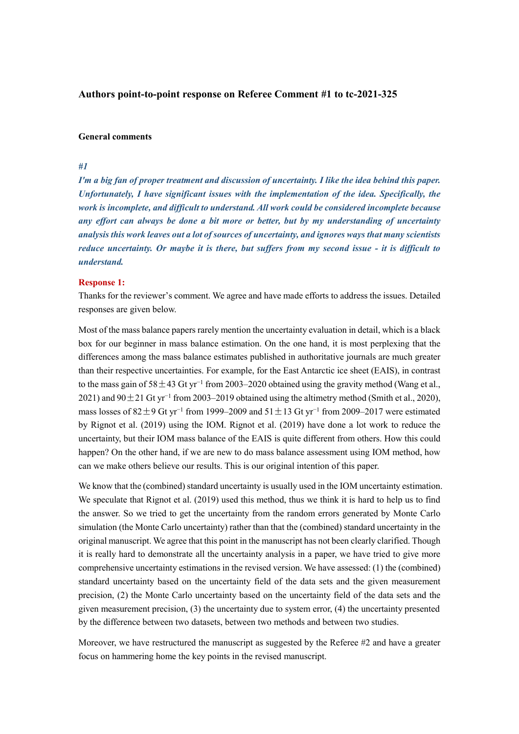## **Authors point-to-point response on Referee Comment #1 to tc-2021-325**

#### **General comments**

### *#1*

*I'm a big fan of proper treatment and discussion of uncertainty. I like the idea behind this paper. Unfortunately, I have significant issues with the implementation of the idea. Specifically, the work is incomplete, and difficult to understand. All work could be considered incomplete because any effort can always be done a bit more or better, but by my understanding of uncertainty analysis this work leaves out a lot of sources of uncertainty, and ignores ways that many scientists reduce uncertainty. Or maybe it is there, but suffers from my second issue - it is difficult to understand.*

### **Response 1:**

Thanks for the reviewer's comment. We agree and have made efforts to address the issues. Detailed responses are given below.

Most of the mass balance papers rarely mention the uncertainty evaluation in detail, which is a black box for our beginner in mass balance estimation. On the one hand, it is most perplexing that the differences among the mass balance estimates published in authoritative journals are much greater than their respective uncertainties. For example, for the East Antarctic ice sheet (EAIS), in contrast to the mass gain of 58 $\pm$ 43 Gt yr<sup>-1</sup> from 2003–2020 obtained using the gravity method (Wang et al., 2021) and 90±21 Gt yr<sup>−</sup><sup>1</sup> from 2003–2019 obtained using the altimetry method (Smith et al., 2020), mass losses of 82±9 Gt yr<sup>-1</sup> from 1999–2009 and  $51 \pm 13$  Gt yr<sup>-1</sup> from 2009–2017 were estimated by Rignot et al. (2019) using the IOM. Rignot et al. (2019) have done a lot work to reduce the uncertainty, but their IOM mass balance of the EAIS is quite different from others. How this could happen? On the other hand, if we are new to do mass balance assessment using IOM method, how can we make others believe our results. This is our original intention of this paper.

We know that the (combined) standard uncertainty is usually used in the IOM uncertainty estimation. We speculate that Rignot et al. (2019) used this method, thus we think it is hard to help us to find the answer. So we tried to get the uncertainty from the random errors generated by Monte Carlo simulation (the Monte Carlo uncertainty) rather than that the (combined) standard uncertainty in the original manuscript. We agree that this point in the manuscript has not been clearly clarified. Though it is really hard to demonstrate all the uncertainty analysis in a paper, we have tried to give more comprehensive uncertainty estimations in the revised version. We have assessed: (1) the (combined) standard uncertainty based on the uncertainty field of the data sets and the given measurement precision, (2) the Monte Carlo uncertainty based on the uncertainty field of the data sets and the given measurement precision, (3) the uncertainty due to system error, (4) the uncertainty presented by the difference between two datasets, between two methods and between two studies.

Moreover, we have restructured the manuscript as suggested by the Referee  $#2$  and have a greater focus on hammering home the key points in the revised manuscript.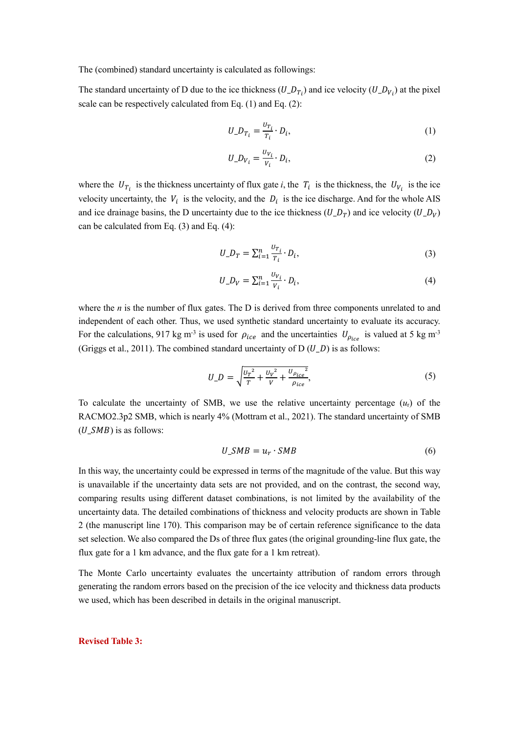The (combined) standard uncertainty is calculated as followings:

The standard uncertainty of D due to the ice thickness  $(U_p_p)$  and ice velocity  $(U_p_p)$  at the pixel scale can be respectively calculated from Eq. (1) and Eq. (2):

$$
U_{-}D_{T_i} = \frac{U_{T_i}}{T_i} \cdot D_i, \qquad (1)
$$

$$
U_{-}D_{V_i} = \frac{U_{V_i}}{V_i} \cdot D_i, \qquad (2)
$$

where the  $U_{T_i}$  is the thickness uncertainty of flux gate *i*, the  $T_i$  is the thickness, the  $U_{V_i}$  is the ice velocity uncertainty, the  $V_i$  is the velocity, and the  $D_i$  is the ice discharge. And for the whole AIS and ice drainage basins, the D uncertainty due to the ice thickness  $(U_{-}D_T)$  and ice velocity  $(U_{-}D_V)$ can be calculated from Eq. (3) and Eq. (4):

$$
U_{-}D_{T} = \sum_{i=1}^{n} \frac{v_{T_i}}{T_i} \cdot D_i, \qquad (3)
$$

$$
U_{-}D_{V} = \sum_{i=1}^{n} \frac{v_{V_{i}}}{v_{i}} \cdot D_{i},
$$
\n(4)

where the *n* is the number of flux gates. The D is derived from three components unrelated to and independent of each other. Thus, we used synthetic standard uncertainty to evaluate its accuracy. For the calculations, 917 kg m<sup>-3</sup> is used for  $\rho_{ice}$  and the uncertainties  $U_{\rho_{ice}}$  is valued at 5 kg m<sup>-3</sup> (Griggs et al., 2011). The combined standard uncertainty of D  $(U, D)$  is as follows:

$$
U_{-}D = \sqrt{\frac{U_{T}^{2}}{T} + \frac{U_{V}^{2}}{V} + \frac{U_{p_{ice}}^{2}}{\rho_{ice}}},
$$
\n(5)

To calculate the uncertainty of SMB, we use the relative uncertainty percentage  $(u_r)$  of the RACMO2.3p2 SMB, which is nearly 4% (Mottram et al., 2021). The standard uncertainty of SMB  $(U \; SMB)$  is as follows:

$$
U\_SMB = u_r \cdot SMB \tag{6}
$$

In this way, the uncertainty could be expressed in terms of the magnitude of the value. But this way is unavailable if the uncertainty data sets are not provided, and on the contrast, the second way, comparing results using different dataset combinations, is not limited by the availability of the uncertainty data. The detailed combinations of thickness and velocity products are shown in Table 2 (the manuscript line 170). This comparison may be of certain reference significance to the data set selection. We also compared the Ds of three flux gates (the original grounding-line flux gate, the flux gate for a 1 km advance, and the flux gate for a 1 km retreat).

The Monte Carlo uncertainty evaluates the uncertainty attribution of random errors through generating the random errors based on the precision of the ice velocity and thickness data products we used, which has been described in details in the original manuscript.

#### **Revised Table 3:**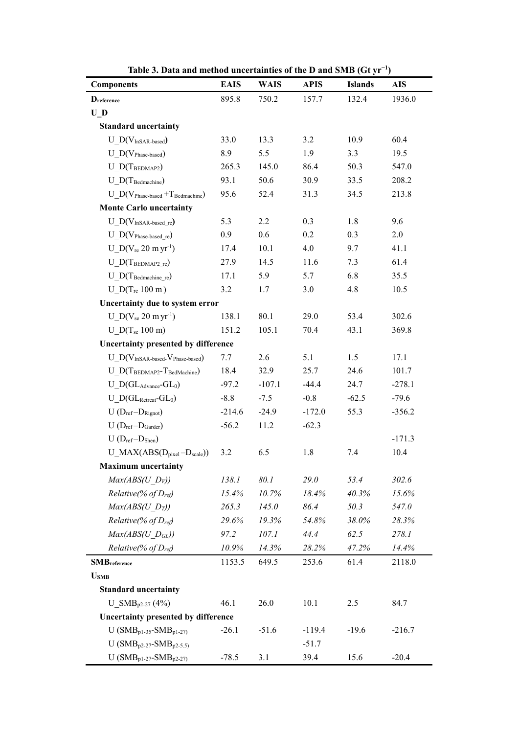| <b>Components</b>                       | <b>EAIS</b> | <b>WAIS</b> | <b>APIS</b> | <b>Islands</b> | <b>AIS</b> |
|-----------------------------------------|-------------|-------------|-------------|----------------|------------|
| <b>D</b> reference                      | 895.8       | 750.2       | 157.7       | 132.4          | 1936.0     |
| $\mathbf{U}_{\perp}\mathbf{D}$          |             |             |             |                |            |
| <b>Standard uncertainty</b>             |             |             |             |                |            |
| $U_D(V_{InSAR-based})$                  | 33.0        | 13.3        | 3.2         | 10.9           | 60.4       |
| $U_D(V_{Phase-based})$                  | 8.9         | 5.5         | 1.9         | 3.3            | 19.5       |
| $U_{D(T_{BEDMAP2})}$                    | 265.3       | 145.0       | 86.4        | 50.3           | 547.0      |
| $U_{\_}D(T_{\text{Bedmachine}})$        | 93.1        | 50.6        | 30.9        | 33.5           | 208.2      |
| $U D(V_{Phase-based} + T_{Bedmachine})$ | 95.6        | 52.4        | 31.3        | 34.5           | 213.8      |
| <b>Monte Carlo uncertainty</b>          |             |             |             |                |            |
| $U_D(V_{InSAR-based\;re})$              | 5.3         | 2.2         | 0.3         | 1.8            | 9.6        |
| $U$ D(V <sub>Phase-based re</sub> )     | 0.9         | 0.6         | 0.2         | 0.3            | 2.0        |
| $U_D(V_{re} 20 \text{ m yr}^{-1})$      | 17.4        | 10.1        | 4.0         | 9.7            | 41.1       |
| $U$ D(TBEDMAP2 re)                      | 27.9        | 14.5        | 11.6        | 7.3            | 61.4       |
| $U\_D(T_{Bedmachine}$ re)               | 17.1        | 5.9         | 5.7         | 6.8            | 35.5       |
| $U\_D(T_{re} 100 m)$                    | 3.2         | 1.7         | 3.0         | 4.8            | 10.5       |
| Uncertainty due to system error         |             |             |             |                |            |
| $U_D(V_{se} 20 \text{ m yr}^{-1})$      | 138.1       | 80.1        | 29.0        | 53.4           | 302.6      |
| U $D(T_{se} 100 m)$                     | 151.2       | 105.1       | 70.4        | 43.1           | 369.8      |
| Uncertainty presented by difference     |             |             |             |                |            |
| $U_D(V_{InSAR-based}V_{Phase-based})$   | 7.7         | 2.6         | 5.1         | 1.5            | 17.1       |
| $U_{D}$ (TBEDMAP2-TBedMachine)          | 18.4        | 32.9        | 25.7        | 24.6           | 101.7      |
| $U_D(GL_{Advance}}-GL_0)$               | $-97.2$     | $-107.1$    | $-44.4$     | 24.7           | $-278.1$   |
| $U\_D(GL_{Retreat}$ - $GL_0)$           | $-8.8$      | $-7.5$      | $-0.8$      | $-62.5$        | $-79.6$    |
| $U(D_{ref}-D_{Rignot})$                 | $-214.6$    | $-24.9$     | $-172.0$    | 55.3           | $-356.2$   |
| $U(D_{ref}-D_{Garder})$                 | $-56.2$     | 11.2        | $-62.3$     |                |            |
| $U(D_{ref}-D_{Shen})$                   |             |             |             |                | $-171.3$   |
| $U_MAX(ABS(D_{pixel}-D_{scale}))$       | 3.2         | 6.5         | 1.8         | 7.4            | 10.4       |
| <b>Maximum</b> uncertainty              |             |             |             |                |            |
| $Max(ABS(U D_V))$                       | 138.1       | 80.1        | 29.0        | 53.4           | 302.6      |
| Relative(% of $D_{ref}$ )               | 15.4%       | 10.7%       | 18.4%       | 40.3%          | 15.6%      |
| $Max(ABS(U D_T))$                       | 265.3       | 145.0       | 86.4        | 50.3           | 547.0      |
| Relative(% of $D_{ref}$ )               | 29.6%       | 19.3%       | 54.8%       | 38.0%          | 28.3%      |
| $Max(ABS(U D_{GL}))$                    | 97.2        | 107.1       | 44.4        | 62.5           | 278.1      |
| Relative(% of $D_{ref}$ )               | 10.9%       | 14.3%       | 28.2%       | 47.2%          | 14.4%      |
| <b>SMB</b> reference                    | 1153.5      | 649.5       | 253.6       | 61.4           | 2118.0     |
| $USMB$                                  |             |             |             |                |            |
| <b>Standard uncertainty</b>             |             |             |             |                |            |
| U SMB <sub>p2-27</sub> (4%)             | 46.1        | 26.0        | 10.1        | 2.5            | 84.7       |
| Uncertainty presented by difference     |             |             |             |                |            |
| U ( $SMB_{p1-35}$ - $SMB_{p1-27}$ )     | $-26.1$     | $-51.6$     | $-119.4$    | $-19.6$        | $-216.7$   |
| U ( $SMB_{p2-27}$ - $SMB_{p2-5.5}$ )    |             |             | $-51.7$     |                |            |
| $U(SMB_{p1-27}-SMB_{p2-27})$            | $-78.5$     | 3.1         | 39.4        | 15.6           | $-20.4$    |

**Table 3. Data and method uncertainties of the D and SMB (Gt yr<sup>−</sup><sup>1</sup> )**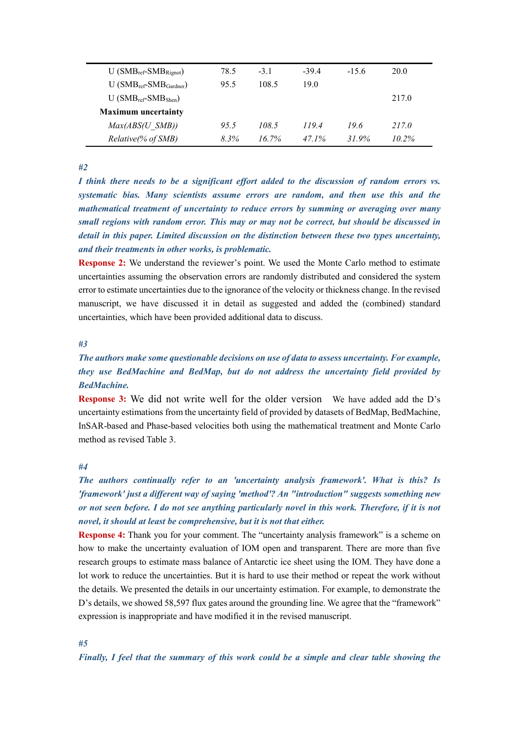| $U(SMB_{ref}-SMB_{Rionot})$  | 78.5 | $-3.1$   | $-39.4$ | $-15.6$ | 20.0     |
|------------------------------|------|----------|---------|---------|----------|
| $U(SMB_{ref}-SMB_{Gardner})$ | 95.5 | 108.5    | 19.0    |         |          |
| $U(SMB_{ref}-SMB_{Shen})$    |      |          |         |         | 217.0    |
| <b>Maximum uncertainty</b>   |      |          |         |         |          |
| $Max(ABS(U)$ SMB))           | 95.5 | 108.5    | 119.4   | 196     | 217.0    |
| Relative(% of SMB)           | 8.3% | $16.7\%$ | 47.1%   | 31 9%   | $10.2\%$ |

*#2*

*I think there needs to be a significant effort added to the discussion of random errors vs. systematic bias. Many scientists assume errors are random, and then use this and the mathematical treatment of uncertainty to reduce errors by summing or averaging over many small regions with random error. This may or may not be correct, but should be discussed in detail in this paper. Limited discussion on the distinction between these two types uncertainty, and their treatments in other works, is problematic.*

**Response 2:** We understand the reviewer's point. We used the Monte Carlo method to estimate uncertainties assuming the observation errors are randomly distributed and considered the system error to estimate uncertainties due to the ignorance of the velocity or thickness change. In the revised manuscript, we have discussed it in detail as suggested and added the (combined) standard uncertainties, which have been provided additional data to discuss.

### *#3*

# *The authors make some questionable decisions on use of data to assess uncertainty. For example, they use BedMachine and BedMap, but do not address the uncertainty field provided by BedMachine.*

**Response 3:** We did not write well for the older version We have added add the D's uncertainty estimations from the uncertainty field of provided by datasets of BedMap, BedMachine, InSAR-based and Phase-based velocities both using the mathematical treatment and Monte Carlo method as revised Table 3.

### *#4*

*The authors continually refer to an 'uncertainty analysis framework'. What is this? Is 'framework' just a different way of saying 'method'? An "introduction" suggests something new or not seen before. I do not see anything particularly novel in this work. Therefore, if it is not novel, it should at least be comprehensive, but it is not that either.*

**Response 4:** Thank you for your comment. The "uncertainty analysis framework" is a scheme on how to make the uncertainty evaluation of IOM open and transparent. There are more than five research groups to estimate mass balance of Antarctic ice sheet using the IOM. They have done a lot work to reduce the uncertainties. But it is hard to use their method or repeat the work without the details. We presented the details in our uncertainty estimation. For example, to demonstrate the D's details, we showed 58,597 flux gates around the grounding line. We agree that the "framework" expression is inappropriate and have modified it in the revised manuscript.

### *#5*

*Finally, I feel that the summary of this work could be a simple and clear table showing the*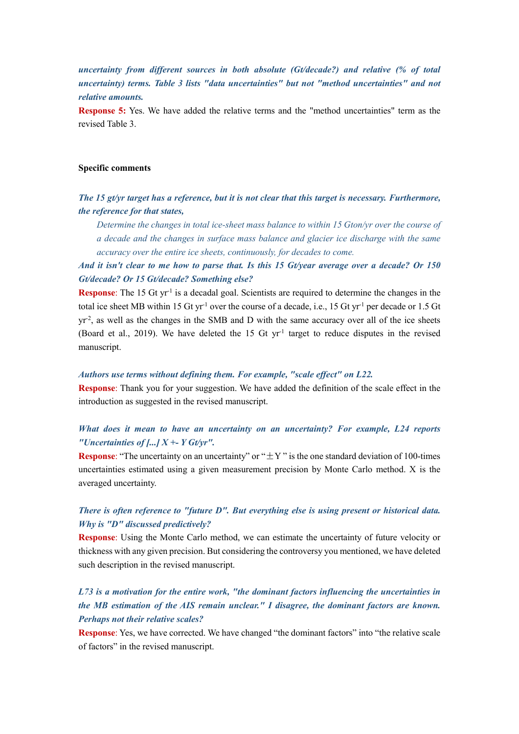*uncertainty from different sources in both absolute (Gt/decade?) and relative (% of total uncertainty) terms. Table 3 lists "data uncertainties" but not "method uncertainties" and not relative amounts.*

**Response 5:** Yes. We have added the relative terms and the "method uncertainties" term as the revised Table 3.

## **Specific comments**

## *The 15 gt/yr target has a reference, but it is not clear that this target is necessary. Furthermore, the reference for that states,*

*Determine the changes in total ice-sheet mass balance to within 15 Gton/yr over the course of a decade and the changes in surface mass balance and glacier ice discharge with the same accuracy over the entire ice sheets, continuously, for decades to come.*

*And it isn't clear to me how to parse that. Is this 15 Gt/year average over a decade? Or 150 Gt/decade? Or 15 Gt/decade? Something else?*

**Response**: The 15 Gt yr<sup>-1</sup> is a decadal goal. Scientists are required to determine the changes in the total ice sheet MB within 15 Gt yr<sup>-1</sup> over the course of a decade, i.e., 15 Gt yr<sup>-1</sup> per decade or 1.5 Gt  $yr<sup>2</sup>$ , as well as the changes in the SMB and D with the same accuracy over all of the ice sheets (Board et al., 2019). We have deleted the 15 Gt  $yr<sup>-1</sup>$  target to reduce disputes in the revised manuscript.

#### *Authors use terms without defining them. For example, "scale effect" on L22.*

**Response**: Thank you for your suggestion. We have added the definition of the scale effect in the introduction as suggested in the revised manuscript.

## *What does it mean to have an uncertainty on an uncertainty? For example, L24 reports "Uncertainties of [...] X +- Y Gt/yr".*

**Response:** "The uncertainty on an uncertainty" or " $\pm$ Y" is the one standard deviation of 100-times uncertainties estimated using a given measurement precision by Monte Carlo method. X is the averaged uncertainty.

## *There is often reference to "future D". But everything else is using present or historical data. Why is "D" discussed predictively?*

**Response**: Using the Monte Carlo method, we can estimate the uncertainty of future velocity or thickness with any given precision. But considering the controversy you mentioned, we have deleted such description in the revised manuscript.

# *L73 is a motivation for the entire work, "the dominant factors influencing the uncertainties in the MB estimation of the AIS remain unclear." I disagree, the dominant factors are known. Perhaps not their relative scales?*

**Response**: Yes, we have corrected. We have changed "the dominant factors" into "the relative scale of factors" in the revised manuscript.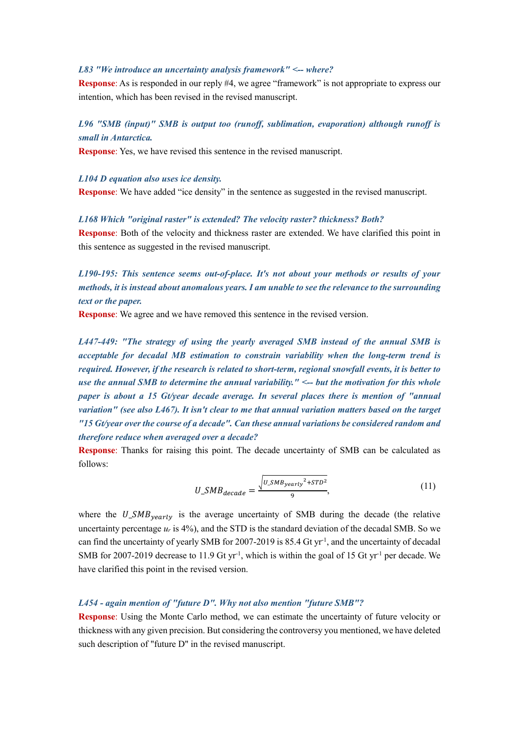### *L83 "We introduce an uncertainty analysis framework" <-- where?*

**Response:** As is responded in our reply #4, we agree "framework" is not appropriate to express our intention, which has been revised in the revised manuscript.

## *L96 "SMB (input)" SMB is output too (runoff, sublimation, evaporation) although runoff is small in Antarctica.*

**Response**: Yes, we have revised this sentence in the revised manuscript.

*L104 D equation also uses ice density.*

**Response**: We have added "ice density" in the sentence as suggested in the revised manuscript.

### *L168 Which "original raster" is extended? The velocity raster? thickness? Both?*

**Response**: Both of the velocity and thickness raster are extended. We have clarified this point in this sentence as suggested in the revised manuscript.

*L190-195: This sentence seems out-of-place. It's not about your methods or results of your methods, it is instead about anomalous years. I am unable to see the relevance to the surrounding text or the paper.*

**Response**: We agree and we have removed this sentence in the revised version.

*L447-449: "The strategy of using the yearly averaged SMB instead of the annual SMB is acceptable for decadal MB estimation to constrain variability when the long-term trend is required. However, if the research is related to short-term, regional snowfall events, it is better to use the annual SMB to determine the annual variability." <-- but the motivation for this whole paper is about a 15 Gt/year decade average. In several places there is mention of "annual variation" (see also L467). It isn't clear to me that annual variation matters based on the target "15 Gt/year over the course of a decade". Can these annual variations be considered random and therefore reduce when averaged over a decade?*

**Response**: Thanks for raising this point. The decade uncertainty of SMB can be calculated as follows:

$$
U\_SMB_{decade} = \frac{\sqrt{U\_SMB_{yearly}^2 + STD^2}}{9},\tag{11}
$$

where the  $U_{\text{SMB}}$ <sub>vearly</sub> is the average uncertainty of SMB during the decade (the relative uncertainty percentage  $u_r$  is 4%), and the STD is the standard deviation of the decadal SMB. So we can find the uncertainty of yearly SMB for 2007-2019 is 85.4 Gt yr<sup>1</sup>, and the uncertainty of decadal SMB for 2007-2019 decrease to 11.9 Gt yr<sup>-1</sup>, which is within the goal of 15 Gt yr<sup>-1</sup> per decade. We have clarified this point in the revised version.

#### *L454 - again mention of "future D". Why not also mention "future SMB"?*

**Response**: Using the Monte Carlo method, we can estimate the uncertainty of future velocity or thickness with any given precision. But considering the controversy you mentioned, we have deleted such description of "future D" in the revised manuscript.